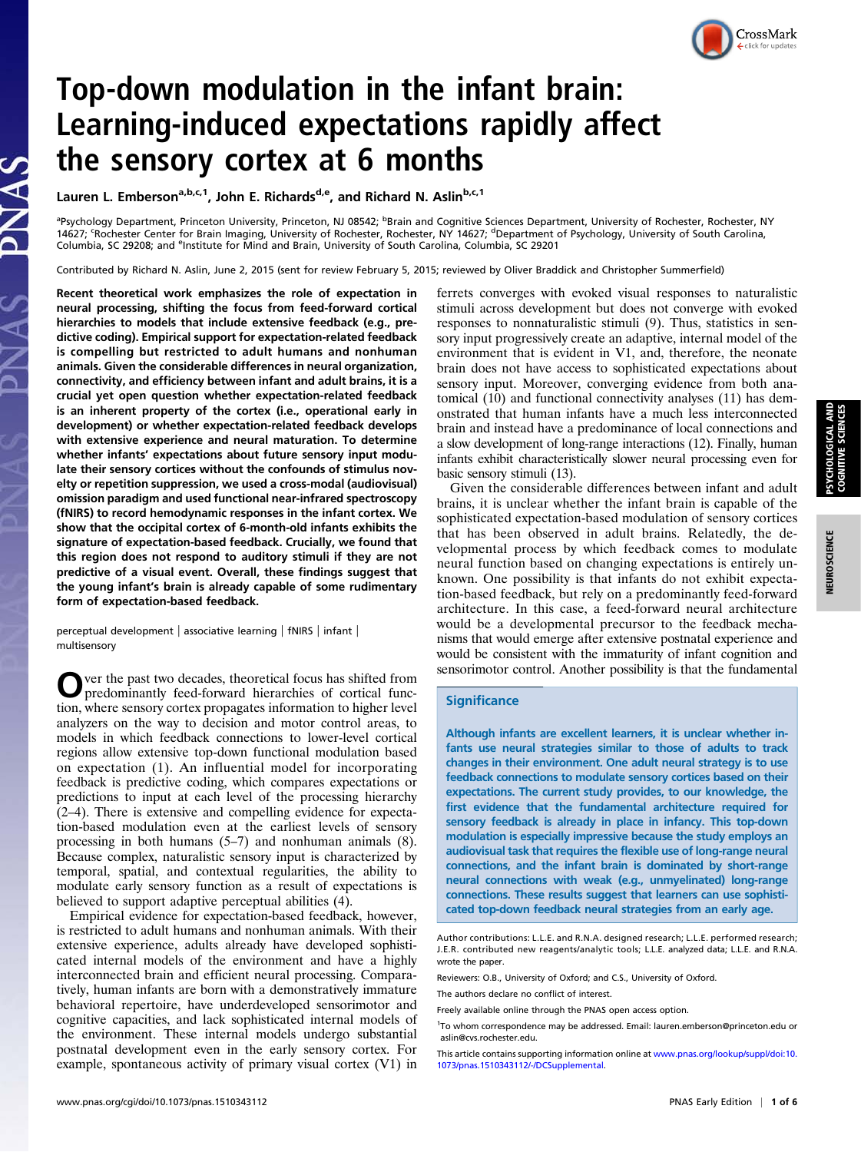NEUROSCIENCE

**JEUROSCIENCE** 

## Top-down modulation in the infant brain: Learning-induced expectations rapidly affect

# the sensory cortex at 6 months

Lauren L. Emberson<sup>a,b,c,1</sup>, John E. Richards<sup>d,e</sup>, and Richard N. Aslin<sup>b,c,1</sup>

<sup>a</sup>Psychology Department, Princeton University, Princeton, NJ 08542; <sup>b</sup>Brain and Cognitive Sciences Department, University of Rochester, Rochester, NY 14627; 'Rochester Center for Brain Imaging, University of Rochester, Rochester, NY 14627; <sup>d</sup>Department of Psychology, University of South Carolina, Columbia, SC 29208; and <sup>e</sup>Institute for Mind and Brain, University of South Carolina, Columbia, SC 29201

Contributed by Richard N. Aslin, June 2, 2015 (sent for review February 5, 2015; reviewed by Oliver Braddick and Christopher Summerfield)

Recent theoretical work emphasizes the role of expectation in neural processing, shifting the focus from feed-forward cortical hierarchies to models that include extensive feedback (e.g., predictive coding). Empirical support for expectation-related feedback is compelling but restricted to adult humans and nonhuman animals. Given the considerable differences in neural organization, connectivity, and efficiency between infant and adult brains, it is a crucial yet open question whether expectation-related feedback is an inherent property of the cortex (i.e., operational early in development) or whether expectation-related feedback develops with extensive experience and neural maturation. To determine whether infants' expectations about future sensory input modulate their sensory cortices without the confounds of stimulus novelty or repetition suppression, we used a cross-modal (audiovisual) omission paradigm and used functional near-infrared spectroscopy (fNIRS) to record hemodynamic responses in the infant cortex. We show that the occipital cortex of 6-month-old infants exhibits the signature of expectation-based feedback. Crucially, we found that this region does not respond to auditory stimuli if they are not predictive of a visual event. Overall, these findings suggest that the young infant's brain is already capable of some rudimentary form of expectation-based feedback.

perceptual development | associative learning | fNIRS | infant | multisensory

Over the past two decades, theoretical focus has shifted from predominantly feed-forward hierarchies of cortical function, where sensory cortex propagates information to higher level analyzers on the way to decision and motor control areas, to models in which feedback connections to lower-level cortical regions allow extensive top-down functional modulation based on expectation (1). An influential model for incorporating feedback is predictive coding, which compares expectations or predictions to input at each level of the processing hierarchy (2–4). There is extensive and compelling evidence for expectation-based modulation even at the earliest levels of sensory processing in both humans  $(5-7)$  and nonhuman animals  $(8)$ . Because complex, naturalistic sensory input is characterized by temporal, spatial, and contextual regularities, the ability to modulate early sensory function as a result of expectations is believed to support adaptive perceptual abilities (4).

Empirical evidence for expectation-based feedback, however, is restricted to adult humans and nonhuman animals. With their extensive experience, adults already have developed sophisticated internal models of the environment and have a highly interconnected brain and efficient neural processing. Comparatively, human infants are born with a demonstratively immature behavioral repertoire, have underdeveloped sensorimotor and cognitive capacities, and lack sophisticated internal models of the environment. These internal models undergo substantial postnatal development even in the early sensory cortex. For example, spontaneous activity of primary visual cortex (V1) in ferrets converges with evoked visual responses to naturalistic stimuli across development but does not converge with evoked responses to nonnaturalistic stimuli (9). Thus, statistics in sensory input progressively create an adaptive, internal model of the environment that is evident in V1, and, therefore, the neonate brain does not have access to sophisticated expectations about sensory input. Moreover, converging evidence from both anatomical (10) and functional connectivity analyses (11) has demonstrated that human infants have a much less interconnected brain and instead have a predominance of local connections and a slow development of long-range interactions (12). Finally, human infants exhibit characteristically slower neural processing even for basic sensory stimuli (13).

Given the considerable differences between infant and adult brains, it is unclear whether the infant brain is capable of the sophisticated expectation-based modulation of sensory cortices that has been observed in adult brains. Relatedly, the developmental process by which feedback comes to modulate neural function based on changing expectations is entirely unknown. One possibility is that infants do not exhibit expectation-based feedback, but rely on a predominantly feed-forward architecture. In this case, a feed-forward neural architecture would be a developmental precursor to the feedback mechanisms that would emerge after extensive postnatal experience and would be consistent with the immaturity of infant cognition and sensorimotor control. Another possibility is that the fundamental

### **Significance**

Although infants are excellent learners, it is unclear whether infants use neural strategies similar to those of adults to track changes in their environment. One adult neural strategy is to use feedback connections to modulate sensory cortices based on their expectations. The current study provides, to our knowledge, the first evidence that the fundamental architecture required for sensory feedback is already in place in infancy. This top-down modulation is especially impressive because the study employs an audiovisual task that requires the flexible use of long-range neural connections, and the infant brain is dominated by short-range neural connections with weak (e.g., unmyelinated) long-range connections. These results suggest that learners can use sophisticated top-down feedback neural strategies from an early age.

The authors declare no conflict of interest.



Author contributions: L.L.E. and R.N.A. designed research; L.L.E. performed research; J.E.R. contributed new reagents/analytic tools; L.L.E. analyzed data; L.L.E. and R.N.A. wrote the paper.

Reviewers: O.B., University of Oxford; and C.S., University of Oxford.

Freely available online through the PNAS open access option.

<sup>1</sup> To whom correspondence may be addressed. Email: [lauren.emberson@princeton.edu](mailto:lauren.emberson@princeton.edu) or [aslin@cvs.rochester.edu.](mailto:aslin@cvs.rochester.edu)

This article contains supporting information online at [www.pnas.org/lookup/suppl/doi:10.](http://www.pnas.org/lookup/suppl/doi:10.1073/pnas.1510343112/-/DCSupplemental) [1073/pnas.1510343112/-/DCSupplemental](http://www.pnas.org/lookup/suppl/doi:10.1073/pnas.1510343112/-/DCSupplemental).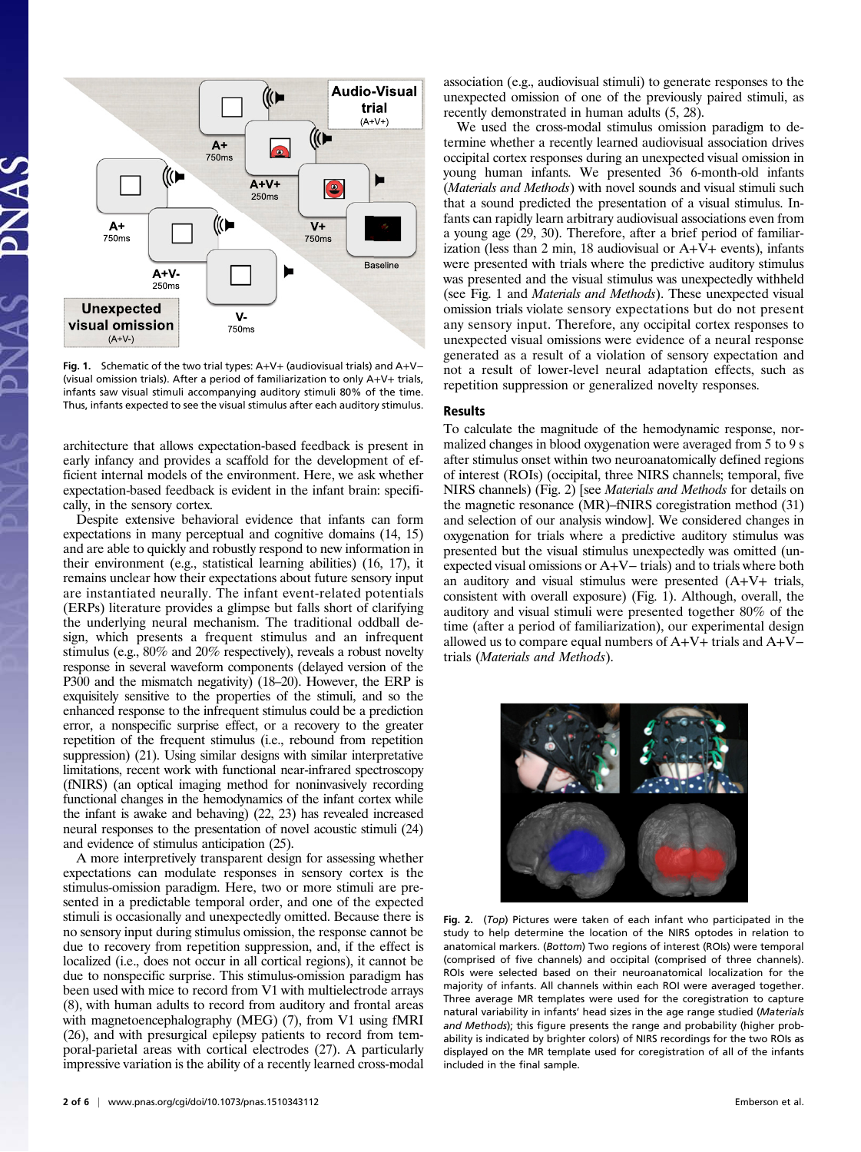

Fig. 1. Schematic of the two trial types: A+V+ (audiovisual trials) and A+V− (visual omission trials). After a period of familiarization to only A+V+ trials, infants saw visual stimuli accompanying auditory stimuli 80% of the time. Thus, infants expected to see the visual stimulus after each auditory stimulus.

architecture that allows expectation-based feedback is present in early infancy and provides a scaffold for the development of efficient internal models of the environment. Here, we ask whether expectation-based feedback is evident in the infant brain: specifically, in the sensory cortex.

Despite extensive behavioral evidence that infants can form expectations in many perceptual and cognitive domains (14, 15) and are able to quickly and robustly respond to new information in their environment (e.g., statistical learning abilities) (16, 17), it remains unclear how their expectations about future sensory input are instantiated neurally. The infant event-related potentials (ERPs) literature provides a glimpse but falls short of clarifying the underlying neural mechanism. The traditional oddball design, which presents a frequent stimulus and an infrequent stimulus (e.g., 80% and 20% respectively), reveals a robust novelty response in several waveform components (delayed version of the P300 and the mismatch negativity) (18–20). However, the ERP is exquisitely sensitive to the properties of the stimuli, and so the enhanced response to the infrequent stimulus could be a prediction error, a nonspecific surprise effect, or a recovery to the greater repetition of the frequent stimulus (i.e., rebound from repetition suppression) (21). Using similar designs with similar interpretative limitations, recent work with functional near-infrared spectroscopy (fNIRS) (an optical imaging method for noninvasively recording functional changes in the hemodynamics of the infant cortex while the infant is awake and behaving) (22, 23) has revealed increased neural responses to the presentation of novel acoustic stimuli (24) and evidence of stimulus anticipation (25).

A more interpretively transparent design for assessing whether expectations can modulate responses in sensory cortex is the stimulus-omission paradigm. Here, two or more stimuli are presented in a predictable temporal order, and one of the expected stimuli is occasionally and unexpectedly omitted. Because there is no sensory input during stimulus omission, the response cannot be due to recovery from repetition suppression, and, if the effect is localized (i.e., does not occur in all cortical regions), it cannot be due to nonspecific surprise. This stimulus-omission paradigm has been used with mice to record from V1 with multielectrode arrays (8), with human adults to record from auditory and frontal areas with magnetoencephalography (MEG) (7), from V1 using fMRI (26), and with presurgical epilepsy patients to record from temporal-parietal areas with cortical electrodes (27). A particularly impressive variation is the ability of a recently learned cross-modal association (e.g., audiovisual stimuli) to generate responses to the unexpected omission of one of the previously paired stimuli, as recently demonstrated in human adults (5, 28).

We used the cross-modal stimulus omission paradigm to determine whether a recently learned audiovisual association drives occipital cortex responses during an unexpected visual omission in young human infants. We presented 36 6-month-old infants (Materials and Methods) with novel sounds and visual stimuli such that a sound predicted the presentation of a visual stimulus. Infants can rapidly learn arbitrary audiovisual associations even from a young age (29, 30). Therefore, after a brief period of familiarization (less than 2 min, 18 audiovisual or  $A+V+$  events), infants were presented with trials where the predictive auditory stimulus was presented and the visual stimulus was unexpectedly withheld (see Fig. 1 and Materials and Methods). These unexpected visual omission trials violate sensory expectations but do not present any sensory input. Therefore, any occipital cortex responses to unexpected visual omissions were evidence of a neural response generated as a result of a violation of sensory expectation and not a result of lower-level neural adaptation effects, such as repetition suppression or generalized novelty responses.

#### Results

To calculate the magnitude of the hemodynamic response, normalized changes in blood oxygenation were averaged from 5 to 9 s after stimulus onset within two neuroanatomically defined regions of interest (ROIs) (occipital, three NIRS channels; temporal, five NIRS channels) (Fig. 2) [see Materials and Methods for details on the magnetic resonance (MR)–fNIRS coregistration method (31) and selection of our analysis window]. We considered changes in oxygenation for trials where a predictive auditory stimulus was presented but the visual stimulus unexpectedly was omitted (unexpected visual omissions or A+V− trials) and to trials where both an auditory and visual stimulus were presented (A+V+ trials, consistent with overall exposure) (Fig. 1). Although, overall, the auditory and visual stimuli were presented together 80% of the time (after a period of familiarization), our experimental design allowed us to compare equal numbers of A+V+ trials and A+V− trials (Materials and Methods).



Fig. 2. (Top) Pictures were taken of each infant who participated in the study to help determine the location of the NIRS optodes in relation to anatomical markers. (Bottom) Two regions of interest (ROIs) were temporal (comprised of five channels) and occipital (comprised of three channels). ROIs were selected based on their neuroanatomical localization for the majority of infants. All channels within each ROI were averaged together. Three average MR templates were used for the coregistration to capture natural variability in infants' head sizes in the age range studied (Materials and Methods); this figure presents the range and probability (higher probability is indicated by brighter colors) of NIRS recordings for the two ROIs as displayed on the MR template used for coregistration of all of the infants included in the final sample.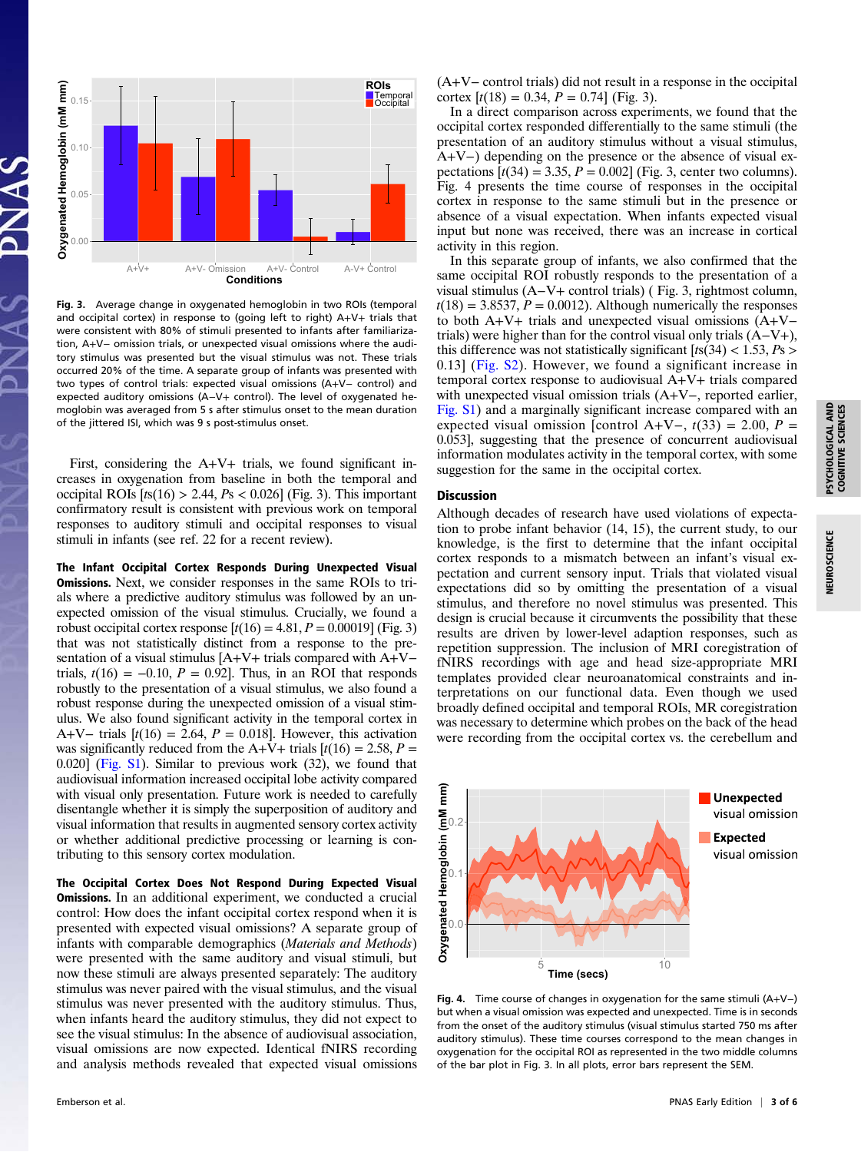

Fig. 3. Average change in oxygenated hemoglobin in two ROIs (temporal and occipital cortex) in response to (going left to right) A+V+ trials that were consistent with 80% of stimuli presented to infants after familiarization, A+V− omission trials, or unexpected visual omissions where the auditory stimulus was presented but the visual stimulus was not. These trials occurred 20% of the time. A separate group of infants was presented with two types of control trials: expected visual omissions (A+V− control) and expected auditory omissions (A−V+ control). The level of oxygenated hemoglobin was averaged from 5 s after stimulus onset to the mean duration of the jittered ISI, which was 9 s post-stimulus onset.

First, considering the  $A+V+$  trials, we found significant increases in oxygenation from baseline in both the temporal and occipital ROIs  $[ts(16) > 2.44, Ps < 0.026]$  (Fig. 3). This important confirmatory result is consistent with previous work on temporal responses to auditory stimuli and occipital responses to visual stimuli in infants (see ref. 22 for a recent review).

The Infant Occipital Cortex Responds During Unexpected Visual Omissions. Next, we consider responses in the same ROIs to trials where a predictive auditory stimulus was followed by an unexpected omission of the visual stimulus. Crucially, we found a robust occipital cortex response  $[t(16) = 4.81, P = 0.00019]$  (Fig. 3) that was not statistically distinct from a response to the presentation of a visual stimulus [A+V+ trials compared with A+V− trials,  $t(16) = -0.10$ ,  $P = 0.92$ ]. Thus, in an ROI that responds robustly to the presentation of a visual stimulus, we also found a robust response during the unexpected omission of a visual stimulus. We also found significant activity in the temporal cortex in A+V− trials  $[t(16) = 2.64, P = 0.018]$ . However, this activation was significantly reduced from the A+V+ trials  $[t(16) = 2.58, P =$ 0.020] [\(Fig. S1\)](http://www.pnas.org/lookup/suppl/doi:10.1073/pnas.1510343112/-/DCSupplemental/pnas.201510343SI.pdf?targetid=nameddest=SF1). Similar to previous work (32), we found that audiovisual information increased occipital lobe activity compared with visual only presentation. Future work is needed to carefully disentangle whether it is simply the superposition of auditory and visual information that results in augmented sensory cortex activity or whether additional predictive processing or learning is contributing to this sensory cortex modulation.

The Occipital Cortex Does Not Respond During Expected Visual **Omissions.** In an additional experiment, we conducted a crucial control: How does the infant occipital cortex respond when it is presented with expected visual omissions? A separate group of infants with comparable demographics (Materials and Methods) were presented with the same auditory and visual stimuli, but now these stimuli are always presented separately: The auditory stimulus was never paired with the visual stimulus, and the visual stimulus was never presented with the auditory stimulus. Thus, when infants heard the auditory stimulus, they did not expect to see the visual stimulus: In the absence of audiovisual association, visual omissions are now expected. Identical fNIRS recording and analysis methods revealed that expected visual omissions

(A+V− control trials) did not result in a response in the occipital cortex  $[t(18) = 0.34, P = 0.74]$  (Fig. 3).

In a direct comparison across experiments, we found that the occipital cortex responded differentially to the same stimuli (the presentation of an auditory stimulus without a visual stimulus, A+V−) depending on the presence or the absence of visual expectations  $[t(34) = 3.35, P = 0.002]$  (Fig. 3, center two columns). Fig. 4 presents the time course of responses in the occipital cortex in response to the same stimuli but in the presence or absence of a visual expectation. When infants expected visual input but none was received, there was an increase in cortical activity in this region.

In this separate group of infants, we also confirmed that the same occipital ROI robustly responds to the presentation of a visual stimulus (A−V+ control trials) ( Fig. 3, rightmost column,  $t(18) = 3.8537$ ,  $P = 0.0012$ ). Although numerically the responses to both A+V+ trials and unexpected visual omissions (A+V− trials) were higher than for the control visual only trials (A−V+), this difference was not statistically significant  $[ts(34) < 1.53, Ps >$ 0.13] ([Fig. S2](http://www.pnas.org/lookup/suppl/doi:10.1073/pnas.1510343112/-/DCSupplemental/pnas.201510343SI.pdf?targetid=nameddest=SF2)). However, we found a significant increase in temporal cortex response to audiovisual A+V+ trials compared with unexpected visual omission trials (A+V−, reported earlier, [Fig. S1\)](http://www.pnas.org/lookup/suppl/doi:10.1073/pnas.1510343112/-/DCSupplemental/pnas.201510343SI.pdf?targetid=nameddest=SF1) and a marginally significant increase compared with an expected visual omission [control A+V−,  $t(33) = 2.00$ ,  $P =$ 0.053], suggesting that the presence of concurrent audiovisual information modulates activity in the temporal cortex, with some suggestion for the same in the occipital cortex.

#### Discussion

Although decades of research have used violations of expectation to probe infant behavior (14, 15), the current study, to our knowledge, is the first to determine that the infant occipital cortex responds to a mismatch between an infant's visual expectation and current sensory input. Trials that violated visual expectations did so by omitting the presentation of a visual stimulus, and therefore no novel stimulus was presented. This design is crucial because it circumvents the possibility that these results are driven by lower-level adaption responses, such as repetition suppression. The inclusion of MRI coregistration of fNIRS recordings with age and head size-appropriate MRI templates provided clear neuroanatomical constraints and interpretations on our functional data. Even though we used broadly defined occipital and temporal ROIs, MR coregistration was necessary to determine which probes on the back of the head were recording from the occipital cortex vs. the cerebellum and



Fig. 4. Time course of changes in oxygenation for the same stimuli (A+V−) but when a visual omission was expected and unexpected. Time is in seconds from the onset of the auditory stimulus (visual stimulus started 750 ms after auditory stimulus). These time courses correspond to the mean changes in oxygenation for the occipital ROI as represented in the two middle columns of the bar plot in Fig. 3. In all plots, error bars represent the SEM.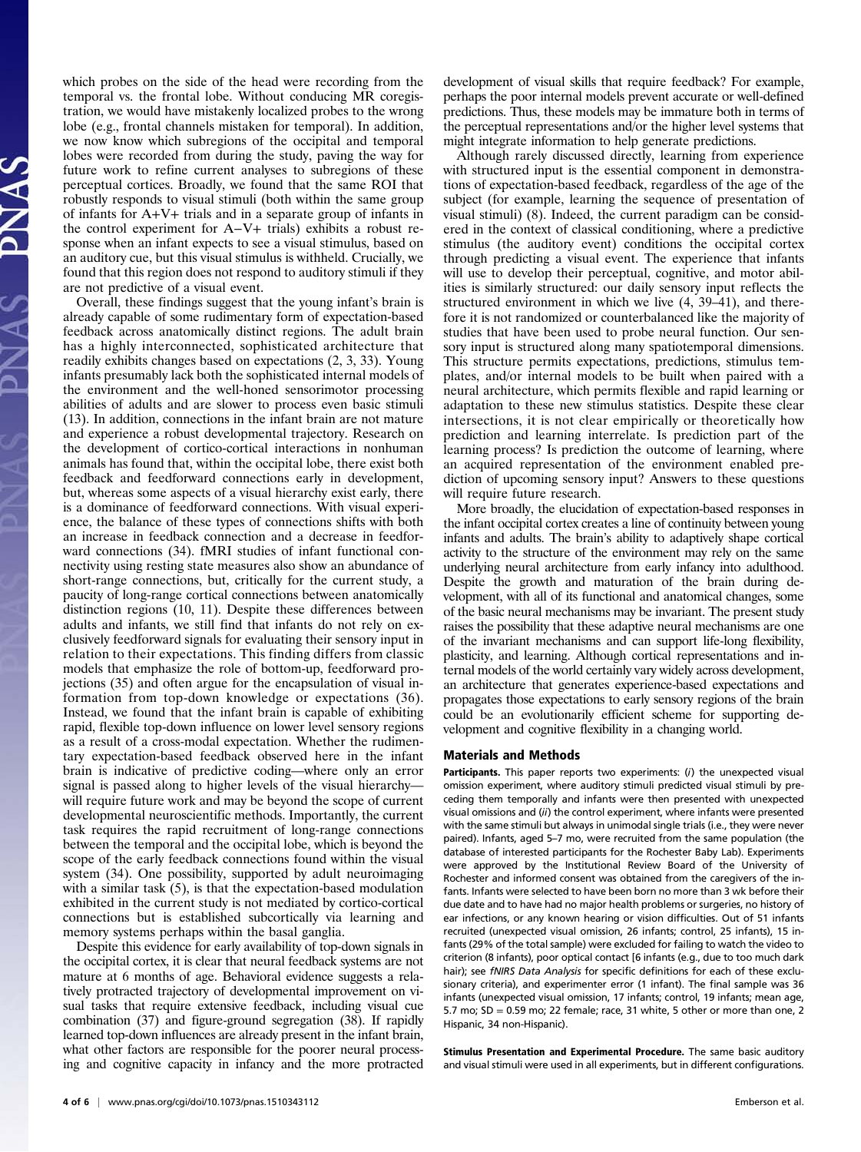which probes on the side of the head were recording from the temporal vs. the frontal lobe. Without conducing MR coregistration, we would have mistakenly localized probes to the wrong lobe (e.g., frontal channels mistaken for temporal). In addition, we now know which subregions of the occipital and temporal lobes were recorded from during the study, paving the way for future work to refine current analyses to subregions of these perceptual cortices. Broadly, we found that the same ROI that robustly responds to visual stimuli (both within the same group of infants for A+V+ trials and in a separate group of infants in the control experiment for A−V+ trials) exhibits a robust response when an infant expects to see a visual stimulus, based on an auditory cue, but this visual stimulus is withheld. Crucially, we found that this region does not respond to auditory stimuli if they are not predictive of a visual event.

Overall, these findings suggest that the young infant's brain is already capable of some rudimentary form of expectation-based feedback across anatomically distinct regions. The adult brain has a highly interconnected, sophisticated architecture that readily exhibits changes based on expectations (2, 3, 33). Young infants presumably lack both the sophisticated internal models of the environment and the well-honed sensorimotor processing abilities of adults and are slower to process even basic stimuli (13). In addition, connections in the infant brain are not mature and experience a robust developmental trajectory. Research on the development of cortico-cortical interactions in nonhuman animals has found that, within the occipital lobe, there exist both feedback and feedforward connections early in development, but, whereas some aspects of a visual hierarchy exist early, there is a dominance of feedforward connections. With visual experience, the balance of these types of connections shifts with both an increase in feedback connection and a decrease in feedforward connections (34). fMRI studies of infant functional connectivity using resting state measures also show an abundance of short-range connections, but, critically for the current study, a paucity of long-range cortical connections between anatomically distinction regions (10, 11). Despite these differences between adults and infants, we still find that infants do not rely on exclusively feedforward signals for evaluating their sensory input in relation to their expectations. This finding differs from classic models that emphasize the role of bottom-up, feedforward projections (35) and often argue for the encapsulation of visual information from top-down knowledge or expectations (36). Instead, we found that the infant brain is capable of exhibiting rapid, flexible top-down influence on lower level sensory regions as a result of a cross-modal expectation. Whether the rudimentary expectation-based feedback observed here in the infant brain is indicative of predictive coding—where only an error signal is passed along to higher levels of the visual hierarchy will require future work and may be beyond the scope of current developmental neuroscientific methods. Importantly, the current task requires the rapid recruitment of long-range connections between the temporal and the occipital lobe, which is beyond the scope of the early feedback connections found within the visual system (34). One possibility, supported by adult neuroimaging with a similar task (5), is that the expectation-based modulation exhibited in the current study is not mediated by cortico-cortical connections but is established subcortically via learning and memory systems perhaps within the basal ganglia.

Despite this evidence for early availability of top-down signals in the occipital cortex, it is clear that neural feedback systems are not mature at 6 months of age. Behavioral evidence suggests a relatively protracted trajectory of developmental improvement on visual tasks that require extensive feedback, including visual cue combination (37) and figure-ground segregation (38). If rapidly learned top-down influences are already present in the infant brain, what other factors are responsible for the poorer neural processing and cognitive capacity in infancy and the more protracted development of visual skills that require feedback? For example, perhaps the poor internal models prevent accurate or well-defined predictions. Thus, these models may be immature both in terms of the perceptual representations and/or the higher level systems that might integrate information to help generate predictions.

Although rarely discussed directly, learning from experience with structured input is the essential component in demonstrations of expectation-based feedback, regardless of the age of the subject (for example, learning the sequence of presentation of visual stimuli) (8). Indeed, the current paradigm can be considered in the context of classical conditioning, where a predictive stimulus (the auditory event) conditions the occipital cortex through predicting a visual event. The experience that infants will use to develop their perceptual, cognitive, and motor abilities is similarly structured: our daily sensory input reflects the structured environment in which we live (4, 39–41), and therefore it is not randomized or counterbalanced like the majority of studies that have been used to probe neural function. Our sensory input is structured along many spatiotemporal dimensions. This structure permits expectations, predictions, stimulus templates, and/or internal models to be built when paired with a neural architecture, which permits flexible and rapid learning or adaptation to these new stimulus statistics. Despite these clear intersections, it is not clear empirically or theoretically how prediction and learning interrelate. Is prediction part of the learning process? Is prediction the outcome of learning, where an acquired representation of the environment enabled prediction of upcoming sensory input? Answers to these questions will require future research.

More broadly, the elucidation of expectation-based responses in the infant occipital cortex creates a line of continuity between young infants and adults. The brain's ability to adaptively shape cortical activity to the structure of the environment may rely on the same underlying neural architecture from early infancy into adulthood. Despite the growth and maturation of the brain during development, with all of its functional and anatomical changes, some of the basic neural mechanisms may be invariant. The present study raises the possibility that these adaptive neural mechanisms are one of the invariant mechanisms and can support life-long flexibility, plasticity, and learning. Although cortical representations and internal models of the world certainly vary widely across development, an architecture that generates experience-based expectations and propagates those expectations to early sensory regions of the brain could be an evolutionarily efficient scheme for supporting development and cognitive flexibility in a changing world.

#### Materials and Methods

Participants. This paper reports two experiments: (i) the unexpected visual omission experiment, where auditory stimuli predicted visual stimuli by preceding them temporally and infants were then presented with unexpected visual omissions and (ii) the control experiment, where infants were presented with the same stimuli but always in unimodal single trials (i.e., they were never paired). Infants, aged 5–7 mo, were recruited from the same population (the database of interested participants for the Rochester Baby Lab). Experiments were approved by the Institutional Review Board of the University of Rochester and informed consent was obtained from the caregivers of the infants. Infants were selected to have been born no more than 3 wk before their due date and to have had no major health problems or surgeries, no history of ear infections, or any known hearing or vision difficulties. Out of 51 infants recruited (unexpected visual omission, 26 infants; control, 25 infants), 15 infants (29% of the total sample) were excluded for failing to watch the video to criterion (8 infants), poor optical contact [6 infants (e.g., due to too much dark hair); see fNIRS Data Analysis for specific definitions for each of these exclusionary criteria), and experimenter error (1 infant). The final sample was 36 infants (unexpected visual omission, 17 infants; control, 19 infants; mean age, 5.7 mo;  $SD = 0.59$  mo; 22 female; race, 31 white, 5 other or more than one, 2 Hispanic, 34 non-Hispanic).

Stimulus Presentation and Experimental Procedure. The same basic auditory and visual stimuli were used in all experiments, but in different configurations.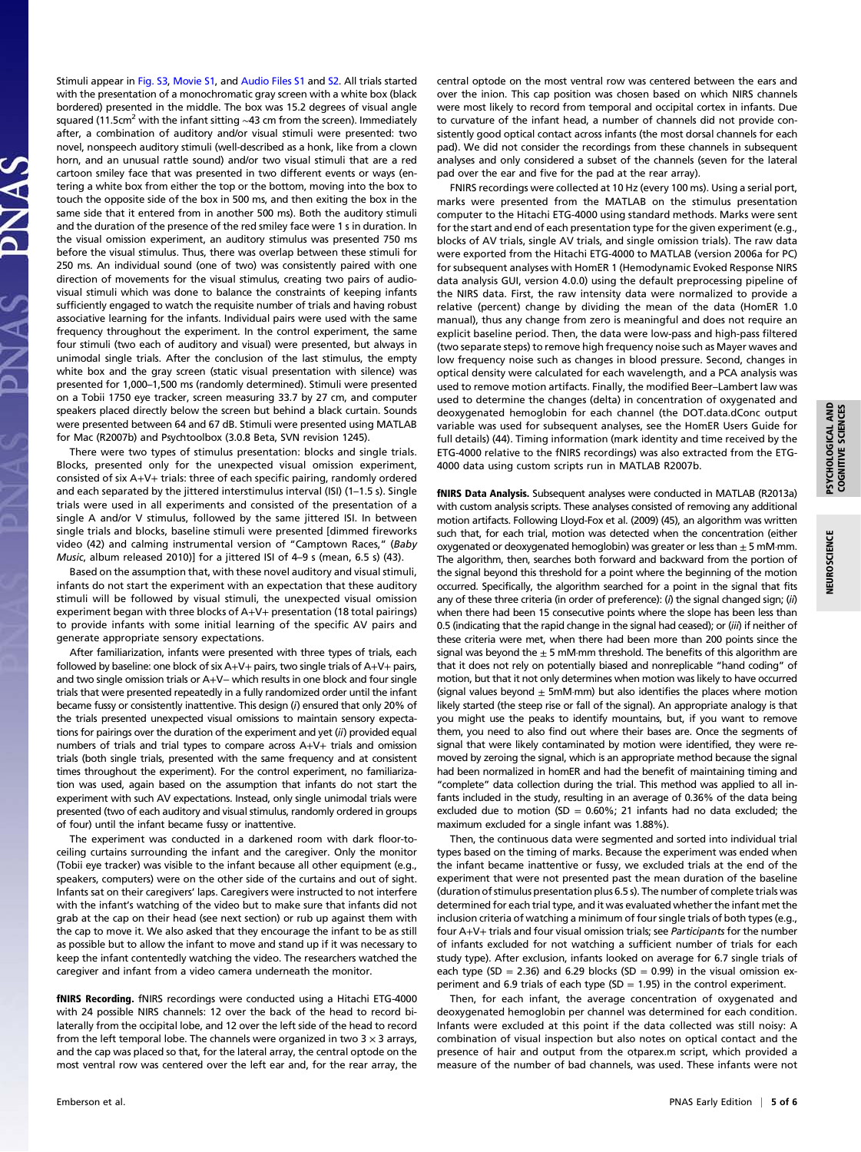Stimuli appear in [Fig. S3,](http://www.pnas.org/lookup/suppl/doi:10.1073/pnas.1510343112/-/DCSupplemental/pnas.201510343SI.pdf?targetid=nameddest=SF3) [Movie S1](http://movie-usa.glencoesoftware.com/video/10.1073/pnas.1510343112/video-1), and [Audio Files S1](http://www.pnas.org/lookup/suppl/doi:10.1073/pnas.1510343112/-/DCSupplemental/pnas.1510343112.sa01.wav) and [S2](http://www.pnas.org/lookup/suppl/doi:10.1073/pnas.1510343112/-/DCSupplemental/pnas.1510343112.sa02.wav). All trials started with the presentation of a monochromatic gray screen with a white box (black bordered) presented in the middle. The box was 15.2 degrees of visual angle squared (11.5cm<sup>2</sup> with the infant sitting ∼43 cm from the screen). Immediately after, a combination of auditory and/or visual stimuli were presented: two novel, nonspeech auditory stimuli (well-described as a honk, like from a clown horn, and an unusual rattle sound) and/or two visual stimuli that are a red cartoon smiley face that was presented in two different events or ways (entering a white box from either the top or the bottom, moving into the box to touch the opposite side of the box in 500 ms, and then exiting the box in the same side that it entered from in another 500 ms). Both the auditory stimuli and the duration of the presence of the red smiley face were 1 s in duration. In the visual omission experiment, an auditory stimulus was presented 750 ms before the visual stimulus. Thus, there was overlap between these stimuli for 250 ms. An individual sound (one of two) was consistently paired with one direction of movements for the visual stimulus, creating two pairs of audiovisual stimuli which was done to balance the constraints of keeping infants sufficiently engaged to watch the requisite number of trials and having robust associative learning for the infants. Individual pairs were used with the same frequency throughout the experiment. In the control experiment, the same four stimuli (two each of auditory and visual) were presented, but always in unimodal single trials. After the conclusion of the last stimulus, the empty white box and the gray screen (static visual presentation with silence) was presented for 1,000–1,500 ms (randomly determined). Stimuli were presented on a Tobii 1750 eye tracker, screen measuring 33.7 by 27 cm, and computer speakers placed directly below the screen but behind a black curtain. Sounds were presented between 64 and 67 dB. Stimuli were presented using MATLAB for Mac (R2007b) and Psychtoolbox (3.0.8 Beta, SVN revision 1245).

There were two types of stimulus presentation: blocks and single trials. Blocks, presented only for the unexpected visual omission experiment, consisted of six A+V+ trials: three of each specific pairing, randomly ordered and each separated by the jittered interstimulus interval (ISI) (1–1.5 s). Single trials were used in all experiments and consisted of the presentation of a single A and/or V stimulus, followed by the same jittered ISI. In between single trials and blocks, baseline stimuli were presented [dimmed fireworks video (42) and calming instrumental version of "Camptown Races," (Baby Music, album released 2010)] for a jittered ISI of 4–9 s (mean, 6.5 s) (43).

Based on the assumption that, with these novel auditory and visual stimuli, infants do not start the experiment with an expectation that these auditory stimuli will be followed by visual stimuli, the unexpected visual omission experiment began with three blocks of A+V+ presentation (18 total pairings) to provide infants with some initial learning of the specific AV pairs and generate appropriate sensory expectations.

After familiarization, infants were presented with three types of trials, each followed by baseline: one block of six A+V+ pairs, two single trials of A+V+ pairs, and two single omission trials or A+V− which results in one block and four single trials that were presented repeatedly in a fully randomized order until the infant became fussy or consistently inattentive. This design (i) ensured that only 20% of the trials presented unexpected visual omissions to maintain sensory expectations for pairings over the duration of the experiment and yet (ii) provided equal numbers of trials and trial types to compare across A+V+ trials and omission trials (both single trials, presented with the same frequency and at consistent times throughout the experiment). For the control experiment, no familiarization was used, again based on the assumption that infants do not start the experiment with such AV expectations. Instead, only single unimodal trials were presented (two of each auditory and visual stimulus, randomly ordered in groups of four) until the infant became fussy or inattentive.

The experiment was conducted in a darkened room with dark floor-toceiling curtains surrounding the infant and the caregiver. Only the monitor (Tobii eye tracker) was visible to the infant because all other equipment (e.g., speakers, computers) were on the other side of the curtains and out of sight. Infants sat on their caregivers' laps. Caregivers were instructed to not interfere with the infant's watching of the video but to make sure that infants did not grab at the cap on their head (see next section) or rub up against them with the cap to move it. We also asked that they encourage the infant to be as still as possible but to allow the infant to move and stand up if it was necessary to keep the infant contentedly watching the video. The researchers watched the caregiver and infant from a video camera underneath the monitor.

fNIRS Recording. fNIRS recordings were conducted using a Hitachi ETG-4000 with 24 possible NIRS channels: 12 over the back of the head to record bilaterally from the occipital lobe, and 12 over the left side of the head to record from the left temporal lobe. The channels were organized in two  $3 \times 3$  arrays, and the cap was placed so that, for the lateral array, the central optode on the most ventral row was centered over the left ear and, for the rear array, the

central optode on the most ventral row was centered between the ears and over the inion. This cap position was chosen based on which NIRS channels were most likely to record from temporal and occipital cortex in infants. Due to curvature of the infant head, a number of channels did not provide consistently good optical contact across infants (the most dorsal channels for each pad). We did not consider the recordings from these channels in subsequent analyses and only considered a subset of the channels (seven for the lateral pad over the ear and five for the pad at the rear array).

FNIRS recordings were collected at 10 Hz (every 100 ms). Using a serial port, marks were presented from the MATLAB on the stimulus presentation computer to the Hitachi ETG-4000 using standard methods. Marks were sent for the start and end of each presentation type for the given experiment (e.g., blocks of AV trials, single AV trials, and single omission trials). The raw data were exported from the Hitachi ETG-4000 to MATLAB (version 2006a for PC) for subsequent analyses with HomER 1 (Hemodynamic Evoked Response NIRS data analysis GUI, version 4.0.0) using the default preprocessing pipeline of the NIRS data. First, the raw intensity data were normalized to provide a relative (percent) change by dividing the mean of the data (HomER 1.0 manual), thus any change from zero is meaningful and does not require an explicit baseline period. Then, the data were low-pass and high-pass filtered (two separate steps) to remove high frequency noise such as Mayer waves and low frequency noise such as changes in blood pressure. Second, changes in optical density were calculated for each wavelength, and a PCA analysis was used to remove motion artifacts. Finally, the modified Beer–Lambert law was used to determine the changes (delta) in concentration of oxygenated and deoxygenated hemoglobin for each channel (the DOT.data.dConc output variable was used for subsequent analyses, see the HomER Users Guide for full details) (44). Timing information (mark identity and time received by the ETG-4000 relative to the fNIRS recordings) was also extracted from the ETG-4000 data using custom scripts run in MATLAB R2007b.

fNIRS Data Analysis. Subsequent analyses were conducted in MATLAB (R2013a) with custom analysis scripts. These analyses consisted of removing any additional motion artifacts. Following Lloyd-Fox et al. (2009) (45), an algorithm was written such that, for each trial, motion was detected when the concentration (either oxygenated or deoxygenated hemoglobin) was greater or less than  $\pm$  5 mM·mm. The algorithm, then, searches both forward and backward from the portion of the signal beyond this threshold for a point where the beginning of the motion occurred. Specifically, the algorithm searched for a point in the signal that fits any of these three criteria (in order of preference): (i) the signal changed sign; (ii) when there had been 15 consecutive points where the slope has been less than 0.5 (indicating that the rapid change in the signal had ceased); or (iii) if neither of these criteria were met, when there had been more than 200 points since the signal was beyond the  $\pm$  5 mM mm threshold. The benefits of this algorithm are that it does not rely on potentially biased and nonreplicable "hand coding" of motion, but that it not only determines when motion was likely to have occurred (signal values beyond  $\pm$  5mM·mm) but also identifies the places where motion likely started (the steep rise or fall of the signal). An appropriate analogy is that you might use the peaks to identify mountains, but, if you want to remove them, you need to also find out where their bases are. Once the segments of signal that were likely contaminated by motion were identified, they were removed by zeroing the signal, which is an appropriate method because the signal had been normalized in homER and had the benefit of maintaining timing and "complete" data collection during the trial. This method was applied to all infants included in the study, resulting in an average of 0.36% of the data being excluded due to motion (SD =  $0.60\%$ ; 21 infants had no data excluded; the maximum excluded for a single infant was 1.88%).

Then, the continuous data were segmented and sorted into individual trial types based on the timing of marks. Because the experiment was ended when the infant became inattentive or fussy, we excluded trials at the end of the experiment that were not presented past the mean duration of the baseline (duration of stimulus presentation plus 6.5 s). The number of complete trials was determined for each trial type, and it was evaluated whether the infant met the inclusion criteria of watching a minimum of four single trials of both types (e.g., four A+V+ trials and four visual omission trials; see Participants for the number of infants excluded for not watching a sufficient number of trials for each study type). After exclusion, infants looked on average for 6.7 single trials of each type (SD = 2.36) and 6.29 blocks (SD = 0.99) in the visual omission experiment and 6.9 trials of each type (SD = 1.95) in the control experiment.

Then, for each infant, the average concentration of oxygenated and deoxygenated hemoglobin per channel was determined for each condition. Infants were excluded at this point if the data collected was still noisy: A combination of visual inspection but also notes on optical contact and the presence of hair and output from the otparex.m script, which provided a measure of the number of bad channels, was used. These infants were not PSYCHOLOGICAL AND COGNITIVE SCIENCES

PSYCHOLOGICAL AND<br>COGNITIVE SCIENCES